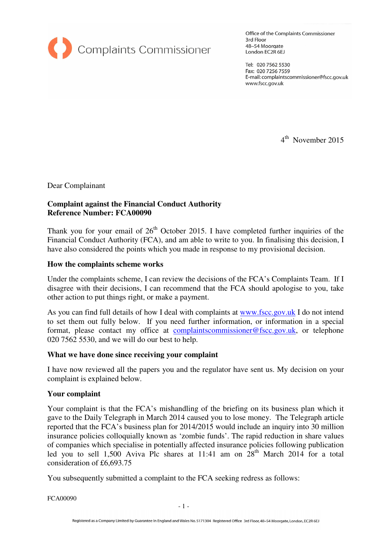

Office of the Complaints Commissioner 3rd Floor 48-54 Moorgate London EC2R 6EJ

Tel: 020 7562 5530 Fax: 020 7256 7559 E-mail: complaintscommissioner@fscc.gov.uk www.fscc.gov.uk

4<sup>th</sup> November 2015

Dear Complainant

# **Complaint against the Financial Conduct Authority Reference Number: FCA00090**

Thank you for your email of  $26<sup>th</sup>$  October 2015. I have completed further inquiries of the Financial Conduct Authority (FCA), and am able to write to you. In finalising this decision, I have also considered the points which you made in response to my provisional decision.

### **How the complaints scheme works**

Under the complaints scheme, I can review the decisions of the FCA's Complaints Team. If I disagree with their decisions, I can recommend that the FCA should apologise to you, take other action to put things right, or make a payment.

As you can find full details of how I deal with complaints at www.fscc.gov.uk I do not intend to set them out fully below. If you need further information, or information in a special format, please contact my office at complaintscommissioner@fscc.gov.uk, or telephone 020 7562 5530, and we will do our best to help.

## **What we have done since receiving your complaint**

I have now reviewed all the papers you and the regulator have sent us. My decision on your complaint is explained below.

## **Your complaint**

Your complaint is that the FCA's mishandling of the briefing on its business plan which it gave to the Daily Telegraph in March 2014 caused you to lose money. The Telegraph article reported that the FCA's business plan for 2014/2015 would include an inquiry into 30 million insurance policies colloquially known as 'zombie funds'. The rapid reduction in share values of companies which specialise in potentially affected insurance policies following publication led you to sell 1,500 Aviva Plc shares at 11:41 am on  $28<sup>th</sup>$  March 2014 for a total consideration of £6,693.75

You subsequently submitted a complaint to the FCA seeking redress as follows:

FCA00090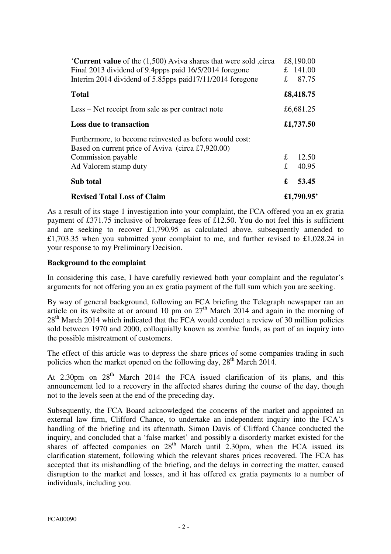| Current value of the (1,500) Aviva shares that were sold, circa<br>Final 2013 dividend of 9.4ppps paid 16/5/2014 foregone<br>Interim 2014 dividend of 5.85pps paid 17/11/2014 foregone | £          | £8,190.00<br>£ $141.00$<br>87.75 |
|----------------------------------------------------------------------------------------------------------------------------------------------------------------------------------------|------------|----------------------------------|
| <b>Total</b>                                                                                                                                                                           |            | £8,418.75                        |
| Less – Net receipt from sale as per contract note                                                                                                                                      |            | £6,681.25                        |
| <b>Loss due to transaction</b>                                                                                                                                                         |            | £1,737.50                        |
| Furthermore, to become reinvested as before would cost:<br>Based on current price of Aviva (circa £7,920.00)<br>Commission payable<br>Ad Valorem stamp duty                            | £<br>£     | 12.50<br>40.95                   |
| Sub total                                                                                                                                                                              | £          | 53.45                            |
| <b>Revised Total Loss of Claim</b>                                                                                                                                                     | £1,790.95' |                                  |

As a result of its stage 1 investigation into your complaint, the FCA offered you an ex gratia payment of £371.75 inclusive of brokerage fees of £12.50. You do not feel this is sufficient and are seeking to recover £1,790.95 as calculated above, subsequently amended to £1,703.35 when you submitted your complaint to me, and further revised to £1,028.24 in your response to my Preliminary Decision.

# **Background to the complaint**

In considering this case, I have carefully reviewed both your complaint and the regulator's arguments for not offering you an ex gratia payment of the full sum which you are seeking.

By way of general background, following an FCA briefing the Telegraph newspaper ran an article on its website at or around 10 pm on  $27<sup>th</sup>$  March 2014 and again in the morning of 28<sup>th</sup> March 2014 which indicated that the FCA would conduct a review of 30 million policies sold between 1970 and 2000, colloquially known as zombie funds, as part of an inquiry into the possible mistreatment of customers.

The effect of this article was to depress the share prices of some companies trading in such policies when the market opened on the following day,  $28<sup>th</sup>$  March 2014.

At 2.30pm on  $28<sup>th</sup>$  March 2014 the FCA issued clarification of its plans, and this announcement led to a recovery in the affected shares during the course of the day, though not to the levels seen at the end of the preceding day.

Subsequently, the FCA Board acknowledged the concerns of the market and appointed an external law firm, Clifford Chance, to undertake an independent inquiry into the FCA's handling of the briefing and its aftermath. Simon Davis of Clifford Chance conducted the inquiry, and concluded that a 'false market' and possibly a disorderly market existed for the shares of affected companies on  $28<sup>th</sup>$  March until 2.30pm, when the FCA issued its clarification statement, following which the relevant shares prices recovered. The FCA has accepted that its mishandling of the briefing, and the delays in correcting the matter, caused disruption to the market and losses, and it has offered ex gratia payments to a number of individuals, including you.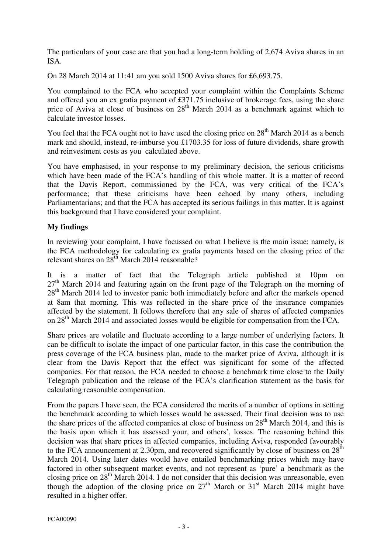The particulars of your case are that you had a long-term holding of 2,674 Aviva shares in an ISA.

On 28 March 2014 at 11:41 am you sold 1500 Aviva shares for £6,693.75.

You complained to the FCA who accepted your complaint within the Complaints Scheme and offered you an ex gratia payment of £371.75 inclusive of brokerage fees, using the share price of Aviva at close of business on  $28<sup>th</sup>$  March 2014 as a benchmark against which to calculate investor losses.

You feel that the FCA ought not to have used the closing price on  $28<sup>th</sup>$  March 2014 as a bench mark and should, instead, re-imburse you £1703.35 for loss of future dividends, share growth and reinvestment costs as you calculated above.

You have emphasised, in your response to my preliminary decision, the serious criticisms which have been made of the FCA's handling of this whole matter. It is a matter of record that the Davis Report, commissioned by the FCA, was very critical of the FCA's performance; that these criticisms have been echoed by many others, including Parliamentarians; and that the FCA has accepted its serious failings in this matter. It is against this background that I have considered your complaint.

# **My findings**

In reviewing your complaint, I have focussed on what I believe is the main issue: namely, is the FCA methodology for calculating ex gratia payments based on the closing price of the relevant shares on 28<sup>th</sup> March 2014 reasonable?

It is a matter of fact that the Telegraph article published at 10pm on  $27<sup>th</sup>$  March 2014 and featuring again on the front page of the Telegraph on the morning of  $28<sup>th</sup>$  March 2014 led to investor panic both immediately before and after the markets opened at 8am that morning. This was reflected in the share price of the insurance companies affected by the statement. It follows therefore that any sale of shares of affected companies on 28<sup>th</sup> March 2014 and associated losses would be eligible for compensation from the FCA.

Share prices are volatile and fluctuate according to a large number of underlying factors. It can be difficult to isolate the impact of one particular factor, in this case the contribution the press coverage of the FCA business plan, made to the market price of Aviva, although it is clear from the Davis Report that the effect was significant for some of the affected companies. For that reason, the FCA needed to choose a benchmark time close to the Daily Telegraph publication and the release of the FCA's clarification statement as the basis for calculating reasonable compensation.

From the papers I have seen, the FCA considered the merits of a number of options in setting the benchmark according to which losses would be assessed. Their final decision was to use the share prices of the affected companies at close of business on  $28<sup>th</sup>$  March 2014, and this is the basis upon which it has assessed your, and others', losses. The reasoning behind this decision was that share prices in affected companies, including Aviva, responded favourably to the FCA announcement at 2.30pm, and recovered significantly by close of business on  $28<sup>th</sup>$ March 2014. Using later dates would have entailed benchmarking prices which may have factored in other subsequent market events, and not represent as 'pure' a benchmark as the closing price on 28<sup>th</sup> March 2014. I do not consider that this decision was unreasonable, even though the adoption of the closing price on  $27<sup>th</sup>$  March or  $31<sup>st</sup>$  March 2014 might have resulted in a higher offer.